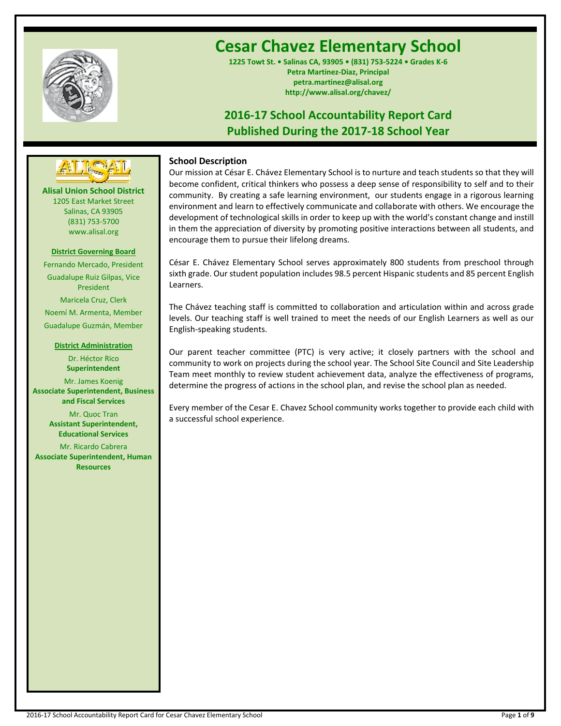

# **Cesar Chavez Elementary School**

**1225 Towt St. • Salinas CA, 93905 • (831) 753-5224 • Grades K-6 Petra Martinez-Diaz, Principal petra.martinez@alisal.org http://www.alisal.org/chavez/**

## **2016-17 School Accountability Report Card Published During the 2017-18 School Year**



**Alisal Union School District** 1205 East Market Street Salinas, CA 93905 (831) 753-5700 www.alisal.org **---- ----**

## **District Governing Board**

Fernando Mercado, President Guadalupe Ruiz Gilpas, Vice President Maricela Cruz, Clerk Noemí M. Armenta, Member Guadalupe Guzmán, Member

## **District Administration**

Dr. Héctor Rico **Superintendent** Mr. James Koenig **Associate Superintendent, Business and Fiscal Services** Mr. Quoc Tran **Assistant Superintendent, Educational Services**

Mr. Ricardo Cabrera **Associate Superintendent, Human Resources**

## **School Description**

Our mission at César E. Chávez Elementary School is to nurture and teach students so that they will become confident, critical thinkers who possess a deep sense of responsibility to self and to their community. By creating a safe learning environment, our students engage in a rigorous learning environment and learn to effectively communicate and collaborate with others. We encourage the development of technological skills in order to keep up with the world's constant change and instill in them the appreciation of diversity by promoting positive interactions between all students, and encourage them to pursue their lifelong dreams.

César E. Chávez Elementary School serves approximately 800 students from preschool through sixth grade. Our student population includes 98.5 percent Hispanic students and 85 percent English Learners.

The Chávez teaching staff is committed to collaboration and articulation within and across grade levels. Our teaching staff is well trained to meet the needs of our English Learners as well as our English-speaking students.

Our parent teacher committee (PTC) is very active; it closely partners with the school and community to work on projects during the school year. The School Site Council and Site Leadership Team meet monthly to review student achievement data, analyze the effectiveness of programs, determine the progress of actions in the school plan, and revise the school plan as needed.

Every member of the Cesar E. Chavez School community works together to provide each child with a successful school experience.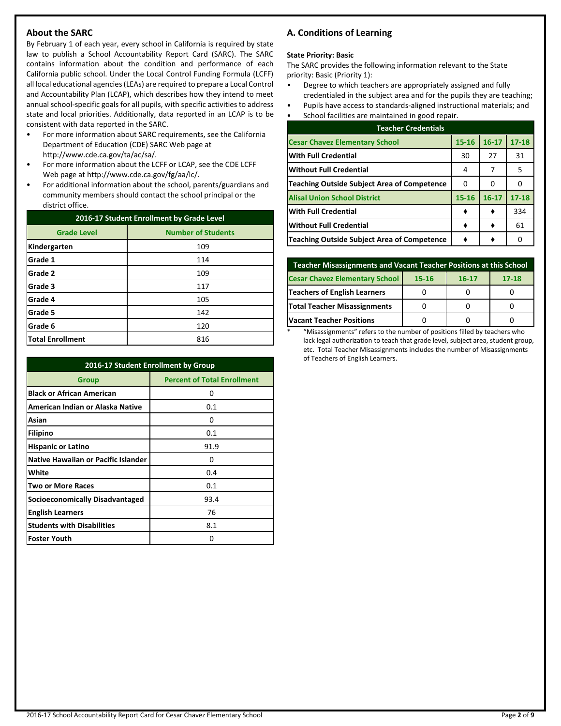## **About the SARC**

By February 1 of each year, every school in California is required by state law to publish a School Accountability Report Card (SARC). The SARC contains information about the condition and performance of each California public school. Under the Local Control Funding Formula (LCFF) all local educational agencies (LEAs) are required to prepare a Local Control and Accountability Plan (LCAP), which describes how they intend to meet annual school-specific goals for all pupils, with specific activities to address state and local priorities. Additionally, data reported in an LCAP is to be consistent with data reported in the SARC.

- For more information about SARC requirements, see the California Department of Education (CDE) SARC Web page at http://www.cde.ca.gov/ta/ac/sa/.
- For more information about the LCFF or LCAP, see the CDE LCFF Web page at http://www.cde.ca.gov/fg/aa/lc/.
- For additional information about the school, parents/guardians and community members should contact the school principal or the district office.

| 2016-17 Student Enrollment by Grade Level |                           |  |  |
|-------------------------------------------|---------------------------|--|--|
| <b>Grade Level</b>                        | <b>Number of Students</b> |  |  |
| Kindergarten                              | 109                       |  |  |
| Grade 1                                   | 114                       |  |  |
| Grade 2                                   | 109                       |  |  |
| Grade 3                                   | 117                       |  |  |
| Grade 4                                   | 105                       |  |  |
| Grade 5                                   | 142                       |  |  |
| Grade 6                                   | 120                       |  |  |
| <b>Total Enrollment</b>                   | 816                       |  |  |

| 2016-17 Student Enrollment by Group        |                                    |  |  |  |
|--------------------------------------------|------------------------------------|--|--|--|
| Group                                      | <b>Percent of Total Enrollment</b> |  |  |  |
| <b>Black or African American</b>           | 0                                  |  |  |  |
| American Indian or Alaska Native           | 0.1                                |  |  |  |
| Asian                                      | 0                                  |  |  |  |
| Filipino                                   | 0.1                                |  |  |  |
| <b>Hispanic or Latino</b>                  | 91.9                               |  |  |  |
| <b>Native Hawaiian or Pacific Islander</b> | 0                                  |  |  |  |
| White                                      | 0.4                                |  |  |  |
| <b>Two or More Races</b>                   | 0.1                                |  |  |  |
| <b>Socioeconomically Disadvantaged</b>     | 93.4                               |  |  |  |
| <b>English Learners</b>                    | 76                                 |  |  |  |
| <b>Students with Disabilities</b>          | 8.1                                |  |  |  |
| <b>Foster Youth</b>                        | Ω                                  |  |  |  |

## **A. Conditions of Learning**

#### **State Priority: Basic**

The SARC provides the following information relevant to the State priority: Basic (Priority 1):

- Degree to which teachers are appropriately assigned and fully credentialed in the subject area and for the pupils they are teaching;
- Pupils have access to standards-aligned instructional materials; and
- School facilities are maintained in good repair.

| <b>Teacher Credentials</b>                         |           |           |           |  |  |  |
|----------------------------------------------------|-----------|-----------|-----------|--|--|--|
| <b>Cesar Chavez Elementary School</b>              | $15 - 16$ | $16 - 17$ | $17 - 18$ |  |  |  |
| <b>With Full Credential</b>                        | 30        | 27        | 31        |  |  |  |
| <b>Without Full Credential</b>                     | 4         | 7         | 5         |  |  |  |
| <b>Teaching Outside Subject Area of Competence</b> | 0         | O         |           |  |  |  |
| <b>Alisal Union School District</b>                | 15-16     | $16 - 17$ | $17 - 18$ |  |  |  |
| <b>With Full Credential</b>                        |           |           | 334       |  |  |  |
| <b>Without Full Credential</b>                     |           |           | 61        |  |  |  |
| <b>Teaching Outside Subject Area of Competence</b> |           |           |           |  |  |  |

| Teacher Misassignments and Vacant Teacher Positions at this School       |  |  |  |  |  |  |  |
|--------------------------------------------------------------------------|--|--|--|--|--|--|--|
| <b>Cesar Chavez Elementary School</b><br>$17 - 18$<br>15-16<br>$16 - 17$ |  |  |  |  |  |  |  |
| <b>Teachers of English Learners</b>                                      |  |  |  |  |  |  |  |
| <b>Total Teacher Misassignments</b>                                      |  |  |  |  |  |  |  |
| <b>Vacant Teacher Positions</b>                                          |  |  |  |  |  |  |  |

\* "Misassignments" refers to the number of positions filled by teachers who lack legal authorization to teach that grade level, subject area, student group, etc. Total Teacher Misassignments includes the number of Misassignments of Teachers of English Learners.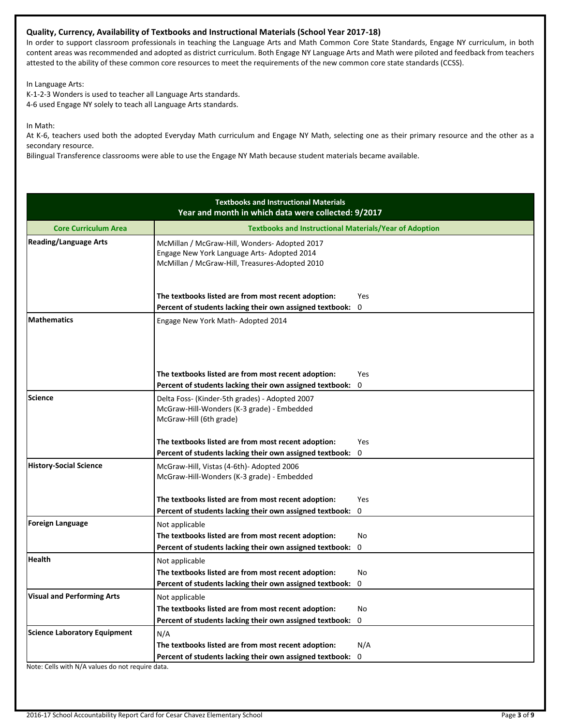## **Quality, Currency, Availability of Textbooks and Instructional Materials (School Year 2017-18)**

In order to support classroom professionals in teaching the Language Arts and Math Common Core State Standards, Engage NY curriculum, in both content areas was recommended and adopted as district curriculum. Both Engage NY Language Arts and Math were piloted and feedback from teachers attested to the ability of these common core resources to meet the requirements of the new common core state standards (CCSS).

In Language Arts:

K-1-2-3 Wonders is used to teacher all Language Arts standards. 4-6 used Engage NY solely to teach all Language Arts standards.

In Math:

At K-6, teachers used both the adopted Everyday Math curriculum and Engage NY Math, selecting one as their primary resource and the other as a secondary resource.

Bilingual Transference classrooms were able to use the Engage NY Math because student materials became available.

| <b>Textbooks and Instructional Materials</b><br>Year and month in which data were collected: 9/2017 |                                                                                                                                               |                 |  |  |  |
|-----------------------------------------------------------------------------------------------------|-----------------------------------------------------------------------------------------------------------------------------------------------|-----------------|--|--|--|
| <b>Core Curriculum Area</b>                                                                         | <b>Textbooks and Instructional Materials/Year of Adoption</b>                                                                                 |                 |  |  |  |
| <b>Reading/Language Arts</b>                                                                        | McMillan / McGraw-Hill, Wonders-Adopted 2017<br>Engage New York Language Arts- Adopted 2014<br>McMillan / McGraw-Hill, Treasures-Adopted 2010 |                 |  |  |  |
|                                                                                                     | The textbooks listed are from most recent adoption:<br>Percent of students lacking their own assigned textbook:                               | <b>Yes</b><br>0 |  |  |  |
| <b>Mathematics</b>                                                                                  | Engage New York Math-Adopted 2014                                                                                                             |                 |  |  |  |
|                                                                                                     | The textbooks listed are from most recent adoption:                                                                                           | Yes             |  |  |  |
|                                                                                                     | Percent of students lacking their own assigned textbook:                                                                                      | 0               |  |  |  |
| <b>Science</b>                                                                                      | Delta Foss- (Kinder-5th grades) - Adopted 2007<br>McGraw-Hill-Wonders (K-3 grade) - Embedded<br>McGraw-Hill (6th grade)                       |                 |  |  |  |
|                                                                                                     | The textbooks listed are from most recent adoption:                                                                                           | Yes             |  |  |  |
|                                                                                                     | Percent of students lacking their own assigned textbook:                                                                                      | 0               |  |  |  |
| <b>History-Social Science</b>                                                                       | McGraw-Hill, Vistas (4-6th)- Adopted 2006<br>McGraw-Hill-Wonders (K-3 grade) - Embedded                                                       |                 |  |  |  |
|                                                                                                     | The textbooks listed are from most recent adoption:                                                                                           | Yes             |  |  |  |
|                                                                                                     | Percent of students lacking their own assigned textbook:                                                                                      | 0               |  |  |  |
| <b>Foreign Language</b>                                                                             | Not applicable                                                                                                                                |                 |  |  |  |
|                                                                                                     | The textbooks listed are from most recent adoption:                                                                                           | <b>No</b>       |  |  |  |
|                                                                                                     | Percent of students lacking their own assigned textbook:                                                                                      | 0               |  |  |  |
| <b>Health</b>                                                                                       | Not applicable                                                                                                                                |                 |  |  |  |
|                                                                                                     | The textbooks listed are from most recent adoption:                                                                                           | <b>No</b>       |  |  |  |
|                                                                                                     | Percent of students lacking their own assigned textbook:                                                                                      | 0               |  |  |  |
| <b>Visual and Performing Arts</b>                                                                   | Not applicable                                                                                                                                |                 |  |  |  |
|                                                                                                     | The textbooks listed are from most recent adoption:                                                                                           | No              |  |  |  |
|                                                                                                     | Percent of students lacking their own assigned textbook:                                                                                      | 0               |  |  |  |
| <b>Science Laboratory Equipment</b>                                                                 | N/A                                                                                                                                           |                 |  |  |  |
|                                                                                                     | The textbooks listed are from most recent adoption:                                                                                           | N/A             |  |  |  |
| Note: Cells with N/A values do not require data.                                                    | Percent of students lacking their own assigned textbook:                                                                                      | 0               |  |  |  |

2016-17 School Accountability Report Card for Cesar Chavez Elementary School Page **3** of **9**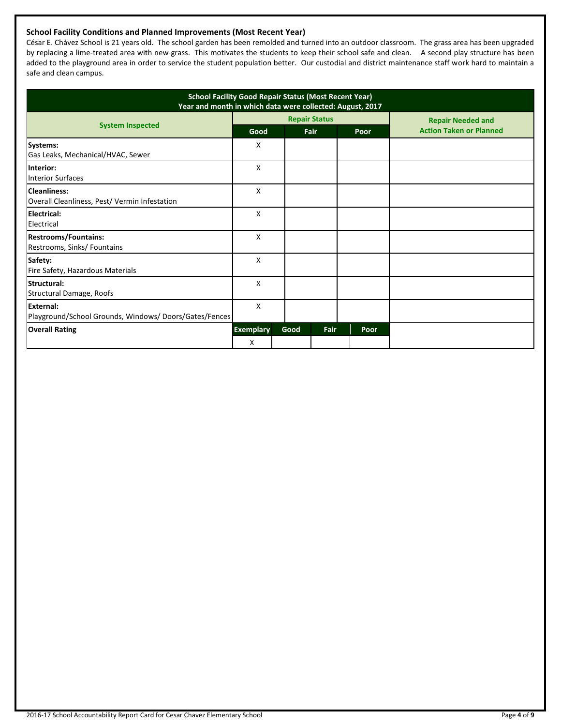## **School Facility Conditions and Planned Improvements (Most Recent Year)**

César E. Chávez School is 21 years old. The school garden has been remolded and turned into an outdoor classroom. The grass area has been upgraded by replacing a lime-treated area with new grass. This motivates the students to keep their school safe and clean. A second play structure has been added to the playground area in order to service the student population better. Our custodial and district maintenance staff work hard to maintain a safe and clean campus.

| <b>School Facility Good Repair Status (Most Recent Year)</b><br>Year and month in which data were collected: August, 2017 |                  |      |                      |      |                                |
|---------------------------------------------------------------------------------------------------------------------------|------------------|------|----------------------|------|--------------------------------|
|                                                                                                                           |                  |      | <b>Repair Status</b> |      | <b>Repair Needed and</b>       |
| <b>System Inspected</b>                                                                                                   | Good             |      | Fair                 | Poor | <b>Action Taken or Planned</b> |
| <b>Systems:</b><br>Gas Leaks, Mechanical/HVAC, Sewer                                                                      | х                |      |                      |      |                                |
| Interior:<br><b>Interior Surfaces</b>                                                                                     | X                |      |                      |      |                                |
| <b>Cleanliness:</b><br>Overall Cleanliness, Pest/ Vermin Infestation                                                      | x                |      |                      |      |                                |
| Electrical:<br>Electrical                                                                                                 | X                |      |                      |      |                                |
| <b>Restrooms/Fountains:</b><br>Restrooms, Sinks/ Fountains                                                                | X                |      |                      |      |                                |
| Safety:<br>Fire Safety, Hazardous Materials                                                                               | x                |      |                      |      |                                |
| Structural:<br>Structural Damage, Roofs                                                                                   | X                |      |                      |      |                                |
| External:<br>Playground/School Grounds, Windows/Doors/Gates/Fences                                                        | X                |      |                      |      |                                |
| <b>Overall Rating</b>                                                                                                     | <b>Exemplary</b> | Good | Fair                 | Poor |                                |
|                                                                                                                           | X                |      |                      |      |                                |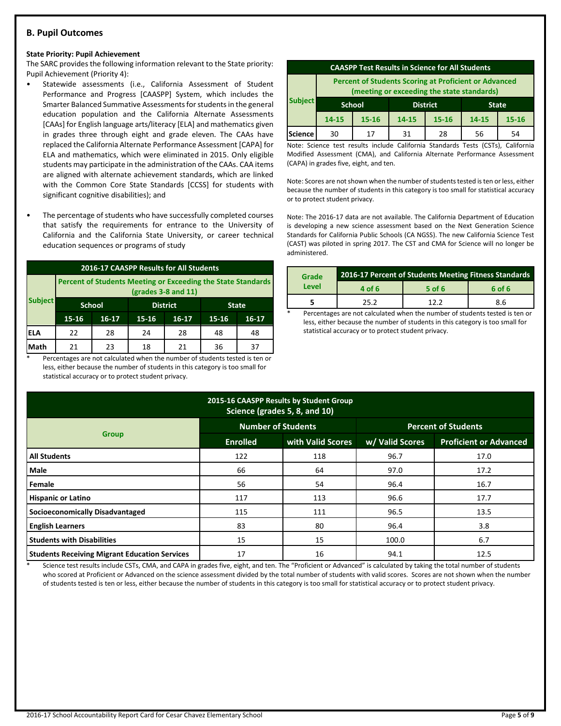## **B. Pupil Outcomes**

#### **State Priority: Pupil Achievement**

The SARC provides the following information relevant to the State priority: Pupil Achievement (Priority 4):

- Statewide assessments (i.e., California Assessment of Student Performance and Progress [CAASPP] System, which includes the Smarter Balanced Summative Assessments for students in the general education population and the California Alternate Assessments [CAAs] for English language arts/literacy [ELA] and mathematics given in grades three through eight and grade eleven. The CAAs have replaced the California Alternate Performance Assessment [CAPA] for ELA and mathematics, which were eliminated in 2015. Only eligible students may participate in the administration of the CAAs. CAA items are aligned with alternate achievement standards, which are linked with the Common Core State Standards [CCSS] for students with significant cognitive disabilities); and
- The percentage of students who have successfully completed courses that satisfy the requirements for entrance to the University of California and the California State University, or career technical education sequences or programs of study

| 2016-17 CAASPP Results for All Students |                                                                                       |                                  |       |       |              |    |  |
|-----------------------------------------|---------------------------------------------------------------------------------------|----------------------------------|-------|-------|--------------|----|--|
|                                         | Percent of Students Meeting or Exceeding the State Standards<br>$(grades 3-8 and 11)$ |                                  |       |       |              |    |  |
| <b>Subject</b>                          |                                                                                       | <b>School</b><br><b>District</b> |       |       | <b>State</b> |    |  |
|                                         | $15 - 16$                                                                             | 16-17                            | 15-16 | 15-16 | $16 - 17$    |    |  |
| IELA                                    | 22                                                                                    | 28                               | 24    | 28    | 48           | 48 |  |
| Math                                    | 21                                                                                    | 23                               | 18    | 21    | 36           | 37 |  |

Percentages are not calculated when the number of students tested is ten or less, either because the number of students in this category is too small for statistical accuracy or to protect student privacy.

| <b>CAASPP Test Results in Science for All Students</b>                                                     |                                                  |           |                                          |    |    |    |
|------------------------------------------------------------------------------------------------------------|--------------------------------------------------|-----------|------------------------------------------|----|----|----|
| <b>Percent of Students Scoring at Proficient or Advanced</b><br>(meeting or exceeding the state standards) |                                                  |           |                                          |    |    |    |
| <b>Subject</b>                                                                                             | <b>District</b><br><b>School</b><br><b>State</b> |           |                                          |    |    |    |
|                                                                                                            | $14 - 15$                                        | $15 - 16$ | 14-15<br>$15 - 16$<br>14-15<br>$15 - 16$ |    |    |    |
| Science                                                                                                    | 30                                               | 17        | 31                                       | 28 | 56 | 54 |

Note: Science test results include California Standards Tests (CSTs), California Modified Assessment (CMA), and California Alternate Performance Assessment (CAPA) in grades five, eight, and ten.

Note: Scores are not shown when the number of students tested is ten or less, either because the number of students in this category is too small for statistical accuracy or to protect student privacy.

Note: The 2016-17 data are not available. The California Department of Education is developing a new science assessment based on the Next Generation Science Standards for California Public Schools (CA NGSS). The new California Science Test (CAST) was piloted in spring 2017. The CST and CMA for Science will no longer be administered.

| Grade | 2016-17 Percent of Students Meeting Fitness Standards |        |        |  |  |
|-------|-------------------------------------------------------|--------|--------|--|--|
| Level | 4 of 6                                                | 5 of 6 | 6 of 6 |  |  |
|       | 25.2                                                  | 17 7   | 8.6    |  |  |
|       |                                                       |        |        |  |  |

Percentages are not calculated when the number of students tested is ten or less, either because the number of students in this category is too small for statistical accuracy or to protect student privacy.

| 2015-16 CAASPP Results by Student Group<br>Science (grades 5, 8, and 10) |                           |                   |                            |                               |  |  |  |
|--------------------------------------------------------------------------|---------------------------|-------------------|----------------------------|-------------------------------|--|--|--|
|                                                                          | <b>Number of Students</b> |                   | <b>Percent of Students</b> |                               |  |  |  |
| <b>Group</b>                                                             | <b>Enrolled</b>           | with Valid Scores | w/ Valid Scores            | <b>Proficient or Advanced</b> |  |  |  |
| <b>All Students</b>                                                      | 122                       | 118               | 96.7                       | 17.0                          |  |  |  |
| <b>Male</b>                                                              | 66                        | 64                | 97.0                       | 17.2                          |  |  |  |
| Female                                                                   | 56                        | 54                | 96.4                       | 16.7                          |  |  |  |
| <b>Hispanic or Latino</b>                                                | 117                       | 113               | 96.6                       | 17.7                          |  |  |  |
| Socioeconomically Disadvantaged                                          | 115                       | 111               | 96.5                       | 13.5                          |  |  |  |
| <b>English Learners</b>                                                  | 83                        | 80                | 96.4                       | 3.8                           |  |  |  |
| <b>Students with Disabilities</b>                                        | 15                        | 15                | 100.0                      | 6.7                           |  |  |  |
| <b>Students Receiving Migrant Education Services</b>                     | 17                        | 16                | 94.1                       | 12.5                          |  |  |  |

Science test results include CSTs, CMA, and CAPA in grades five, eight, and ten. The "Proficient or Advanced" is calculated by taking the total number of students who scored at Proficient or Advanced on the science assessment divided by the total number of students with valid scores. Scores are not shown when the number of students tested is ten or less, either because the number of students in this category is too small for statistical accuracy or to protect student privacy.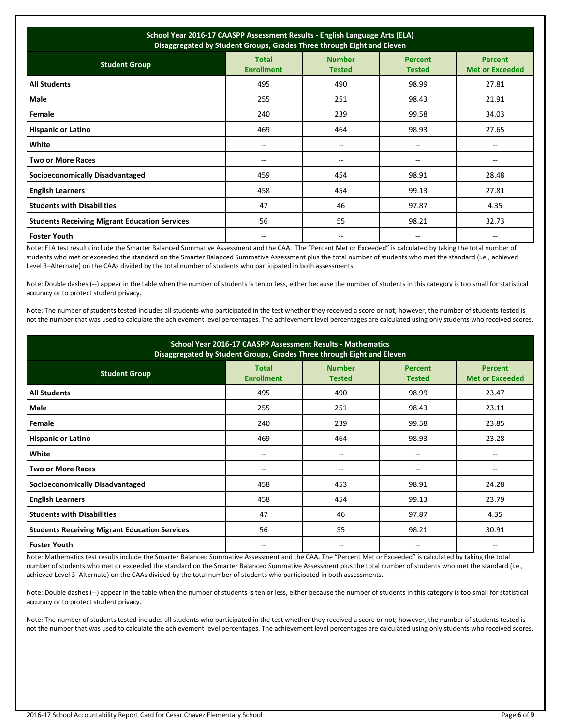| School Year 2016-17 CAASPP Assessment Results - English Language Arts (ELA)<br>Disaggregated by Student Groups, Grades Three through Eight and Eleven |                                   |                                |                                 |                                          |  |  |
|-------------------------------------------------------------------------------------------------------------------------------------------------------|-----------------------------------|--------------------------------|---------------------------------|------------------------------------------|--|--|
| <b>Student Group</b>                                                                                                                                  | <b>Total</b><br><b>Enrollment</b> | <b>Number</b><br><b>Tested</b> | <b>Percent</b><br><b>Tested</b> | <b>Percent</b><br><b>Met or Exceeded</b> |  |  |
| <b>All Students</b>                                                                                                                                   | 495                               | 490                            | 98.99                           | 27.81                                    |  |  |
| Male                                                                                                                                                  | 255                               | 251                            | 98.43                           | 21.91                                    |  |  |
| Female                                                                                                                                                | 240                               | 239                            | 99.58                           | 34.03                                    |  |  |
| <b>Hispanic or Latino</b>                                                                                                                             | 469                               | 464                            | 98.93                           | 27.65                                    |  |  |
| White                                                                                                                                                 | $- -$                             | $- -$                          | $-$                             | $-$                                      |  |  |
| <b>Two or More Races</b>                                                                                                                              | --                                | $-$                            | --                              |                                          |  |  |
| <b>Socioeconomically Disadvantaged</b>                                                                                                                | 459                               | 454                            | 98.91                           | 28.48                                    |  |  |
| <b>English Learners</b>                                                                                                                               | 458                               | 454                            | 99.13                           | 27.81                                    |  |  |
| <b>Students with Disabilities</b>                                                                                                                     | 47                                | 46                             | 97.87                           | 4.35                                     |  |  |
| <b>Students Receiving Migrant Education Services</b>                                                                                                  | 56                                | 55                             | 98.21                           | 32.73                                    |  |  |
| <b>Foster Youth</b>                                                                                                                                   | $- -$                             | $- -$                          | $\overline{\phantom{m}}$        | $\overline{\phantom{m}}$                 |  |  |

Note: ELA test results include the Smarter Balanced Summative Assessment and the CAA. The "Percent Met or Exceeded" is calculated by taking the total number of students who met or exceeded the standard on the Smarter Balanced Summative Assessment plus the total number of students who met the standard (i.e., achieved Level 3–Alternate) on the CAAs divided by the total number of students who participated in both assessments.

Note: Double dashes (--) appear in the table when the number of students is ten or less, either because the number of students in this category is too small for statistical accuracy or to protect student privacy.

Note: The number of students tested includes all students who participated in the test whether they received a score or not; however, the number of students tested is not the number that was used to calculate the achievement level percentages. The achievement level percentages are calculated using only students who received scores.

| School Year 2016-17 CAASPP Assessment Results - Mathematics<br>Disaggregated by Student Groups, Grades Three through Eight and Eleven |                                   |                                |                                 |                                          |  |  |
|---------------------------------------------------------------------------------------------------------------------------------------|-----------------------------------|--------------------------------|---------------------------------|------------------------------------------|--|--|
| <b>Student Group</b>                                                                                                                  | <b>Total</b><br><b>Enrollment</b> | <b>Number</b><br><b>Tested</b> | <b>Percent</b><br><b>Tested</b> | <b>Percent</b><br><b>Met or Exceeded</b> |  |  |
| <b>All Students</b>                                                                                                                   | 495                               | 490                            | 98.99                           | 23.47                                    |  |  |
| Male                                                                                                                                  | 255                               | 251                            | 98.43                           | 23.11                                    |  |  |
| Female                                                                                                                                | 240                               | 239                            | 99.58                           | 23.85                                    |  |  |
| <b>Hispanic or Latino</b>                                                                                                             | 469                               | 464                            | 98.93                           | 23.28                                    |  |  |
| White                                                                                                                                 | --                                | $-$                            | --                              |                                          |  |  |
| <b>Two or More Races</b>                                                                                                              | --                                | $\overline{\phantom{m}}$       | --                              | --                                       |  |  |
| <b>Socioeconomically Disadvantaged</b>                                                                                                | 458                               | 453                            | 98.91                           | 24.28                                    |  |  |
| <b>English Learners</b>                                                                                                               | 458                               | 454                            | 99.13                           | 23.79                                    |  |  |
| <b>Students with Disabilities</b>                                                                                                     | 47                                | 46                             | 97.87                           | 4.35                                     |  |  |
| <b>Students Receiving Migrant Education Services</b>                                                                                  | 56                                | 55                             | 98.21                           | 30.91                                    |  |  |
| <b>Foster Youth</b>                                                                                                                   | --                                | --                             | --                              |                                          |  |  |

Note: Mathematics test results include the Smarter Balanced Summative Assessment and the CAA. The "Percent Met or Exceeded" is calculated by taking the total number of students who met or exceeded the standard on the Smarter Balanced Summative Assessment plus the total number of students who met the standard (i.e., achieved Level 3–Alternate) on the CAAs divided by the total number of students who participated in both assessments.

Note: Double dashes (--) appear in the table when the number of students is ten or less, either because the number of students in this category is too small for statistical accuracy or to protect student privacy.

Note: The number of students tested includes all students who participated in the test whether they received a score or not; however, the number of students tested is not the number that was used to calculate the achievement level percentages. The achievement level percentages are calculated using only students who received scores.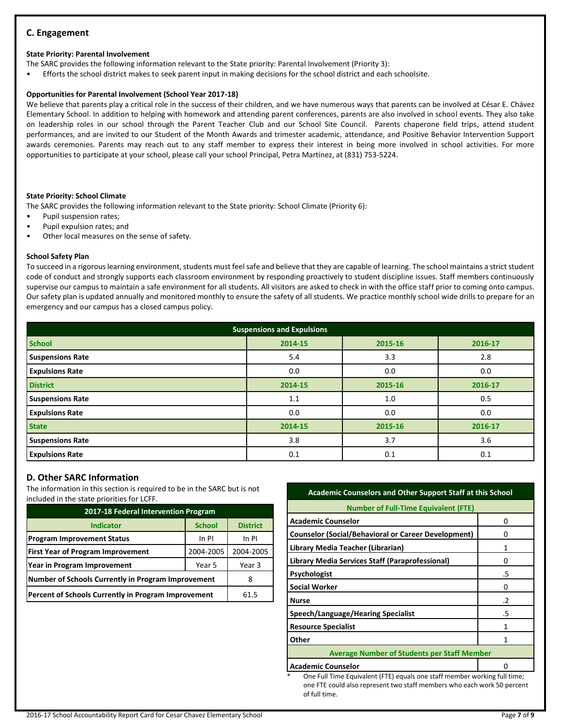## **C. Engagement**

#### **State Priority: Parental Involvement**

The SARC provides the following information relevant to the State priority: Parental Involvement (Priority 3):

• Efforts the school district makes to seek parent input in making decisions for the school district and each schoolsite.

#### **Opportunities for Parental Involvement (School Year 2017-18)**

We believe that parents play a critical role in the success of their children, and we have numerous ways that parents can be involved at César E. Chávez Elementary School. In addition to helping with homework and attending parent conferences, parents are also involved in school events. They also take on leadership roles in our school through the Parent Teacher Club and our School Site Council. Parents chaperone field trips, attend student performances, and are invited to our Student of the Month Awards and trimester academic, attendance, and Positive Behavior Intervention Support awards ceremonies. Parents may reach out to any staff member to express their interest in being more involved in school activities. For more opportunities to participate at your school, please call your school Principal, Petra Martínez, at (831) 753-5224.

#### **State Priority: School Climate**

The SARC provides the following information relevant to the State priority: School Climate (Priority 6):

- Pupil suspension rates;
- Pupil expulsion rates; and
- Other local measures on the sense of safety.

#### **School Safety Plan**

To succeed in a rigorous learning environment, students must feel safe and believe that they are capable of learning. The school maintains a strict student code of conduct and strongly supports each classroom environment by responding proactively to student discipline issues. Staff members continuously supervise our campus to maintain a safe environment for all students. All visitors are asked to check in with the office staff prior to coming onto campus. Our safety plan is updated annually and monitored monthly to ensure the safety of all students. We practice monthly school wide drills to prepare for an emergency and our campus has a closed campus policy.

| <b>Suspensions and Expulsions</b> |         |         |         |  |  |  |
|-----------------------------------|---------|---------|---------|--|--|--|
| <b>School</b>                     | 2014-15 | 2015-16 | 2016-17 |  |  |  |
| <b>Suspensions Rate</b>           | 5.4     | 3.3     | 2.8     |  |  |  |
| <b>Expulsions Rate</b>            | 0.0     | 0.0     | 0.0     |  |  |  |
| <b>District</b>                   | 2014-15 | 2015-16 | 2016-17 |  |  |  |
| <b>Suspensions Rate</b>           | 1.1     | 1.0     | 0.5     |  |  |  |
| <b>Expulsions Rate</b>            | 0.0     | 0.0     | 0.0     |  |  |  |
| <b>State</b>                      | 2014-15 | 2015-16 | 2016-17 |  |  |  |
| <b>Suspensions Rate</b>           | 3.8     | 3.7     | 3.6     |  |  |  |
| <b>Expulsions Rate</b>            | 0.1     | 0.1     | 0.1     |  |  |  |

## **D. Other SARC Information**

The information in this section is required to be in the SARC but is not included in the state priorities for LCFF.

| 2017-18 Federal Intervention Program                |               |                 |  |  |  |
|-----------------------------------------------------|---------------|-----------------|--|--|--|
| <b>Indicator</b>                                    | <b>School</b> | <b>District</b> |  |  |  |
| <b>Program Improvement Status</b>                   | In PI         |                 |  |  |  |
| <b>First Year of Program Improvement</b>            | 2004-2005     |                 |  |  |  |
| Year in Program Improvement                         | Year 3        |                 |  |  |  |
| Number of Schools Currently in Program Improvement  | 8             |                 |  |  |  |
| Percent of Schools Currently in Program Improvement | 61.5          |                 |  |  |  |

## **Academic Counselors and Other Support Staff at this School**

| <b>Number of Full-Time Equivalent (FTE)</b>                |               |  |  |  |
|------------------------------------------------------------|---------------|--|--|--|
| <b>Academic Counselor</b>                                  | Ω             |  |  |  |
| <b>Counselor (Social/Behavioral or Career Development)</b> |               |  |  |  |
| Library Media Teacher (Librarian)                          | 1             |  |  |  |
| Library Media Services Staff (Paraprofessional)            | 0             |  |  |  |
| Psychologist                                               | .5            |  |  |  |
| <b>Social Worker</b>                                       |               |  |  |  |
| <b>Nurse</b>                                               | $\mathcal{L}$ |  |  |  |
| Speech/Language/Hearing Specialist                         | .5            |  |  |  |
| <b>Resource Specialist</b>                                 | 1             |  |  |  |
| Other                                                      |               |  |  |  |
| <b>Average Number of Students per Staff Member</b>         |               |  |  |  |
| <b>Academic Counselor</b>                                  |               |  |  |  |

One Full Time Equivalent (FTE) equals one staff member working full time; one FTE could also represent two staff members who each work 50 percent of full time.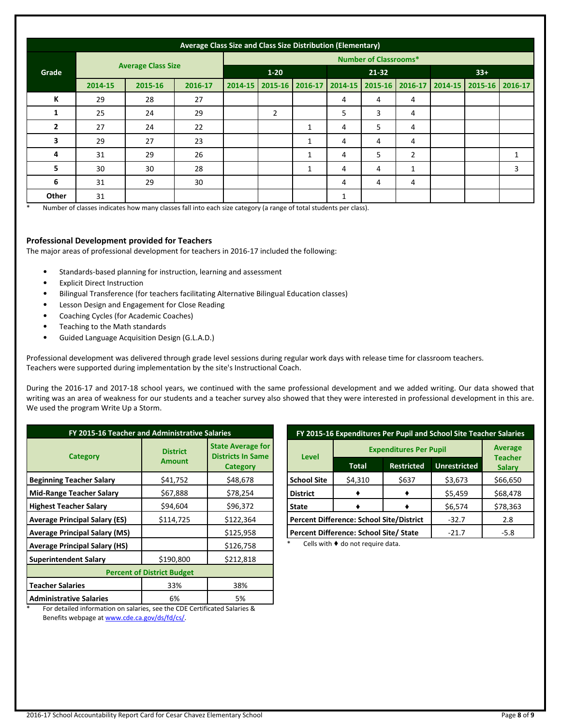|                | Average Class Size and Class Size Distribution (Elementary) |         |          |                              |                |              |         |         |                |                 |                 |              |
|----------------|-------------------------------------------------------------|---------|----------|------------------------------|----------------|--------------|---------|---------|----------------|-----------------|-----------------|--------------|
|                |                                                             |         |          | <b>Number of Classrooms*</b> |                |              |         |         |                |                 |                 |              |
| Grade          | <b>Average Class Size</b>                                   |         | $1 - 20$ |                              | $21 - 32$      |              |         | $33+$   |                |                 |                 |              |
|                | 2014-15                                                     | 2015-16 | 2016-17  | 2014-15                      | $2015 - 16$    | 2016-17      | 2014-15 | 2015-16 |                | 2016-17 2014-15 | 2015-16 2016-17 |              |
| К              | 29                                                          | 28      | 27       |                              |                |              | 4       | 4       | 4              |                 |                 |              |
| 1              | 25                                                          | 24      | 29       |                              | $\overline{2}$ |              | 5       | 3       | 4              |                 |                 |              |
| $\overline{2}$ | 27                                                          | 24      | 22       |                              |                | 1            | 4       | 5       | 4              |                 |                 |              |
| 3              | 29                                                          | 27      | 23       |                              |                | $\mathbf{1}$ | 4       | 4       | $\overline{4}$ |                 |                 |              |
| 4              | 31                                                          | 29      | 26       |                              |                | 1            | 4       | 5       | $\overline{2}$ |                 |                 | $\mathbf{1}$ |
| 5              | 30                                                          | 30      | 28       |                              |                | 1            | 4       | 4       | 1              |                 |                 | 3            |
| 6              | 31                                                          | 29      | 30       |                              |                |              | 4       | 4       | 4              |                 |                 |              |
| Other          | 31                                                          |         |          |                              |                |              | 1       |         |                |                 |                 |              |

Number of classes indicates how many classes fall into each size category (a range of total students per class).

## **Professional Development provided for Teachers**

The major areas of professional development for teachers in 2016-17 included the following:

- Standards-based planning for instruction, learning and assessment
- **Explicit Direct Instruction**
- Bilingual Transference (for teachers facilitating Alternative Bilingual Education classes)
- Lesson Design and Engagement for Close Reading
- Coaching Cycles (for Academic Coaches)
- Teaching to the Math standards
- Guided Language Acquisition Design (G.L.A.D.)

Professional development was delivered through grade level sessions during regular work days with release time for classroom teachers. Teachers were supported during implementation by the site's Instructional Coach.

During the 2016-17 and 2017-18 school years, we continued with the same professional development and we added writing. Our data showed that writing was an area of weakness for our students and a teacher survey also showed that they were interested in professional development in this are. We used the program Write Up a Storm.

| FY 2015-16 Teacher and Administrative Salaries                                                                                                               |                                  |                                                                         |  |  |  |  |
|--------------------------------------------------------------------------------------------------------------------------------------------------------------|----------------------------------|-------------------------------------------------------------------------|--|--|--|--|
| Category                                                                                                                                                     | <b>District</b><br><b>Amount</b> | <b>State Average for</b><br><b>Districts In Same</b><br><b>Category</b> |  |  |  |  |
| <b>Beginning Teacher Salary</b>                                                                                                                              | \$41,752                         | \$48,678                                                                |  |  |  |  |
| <b>Mid-Range Teacher Salary</b>                                                                                                                              | \$67,888                         | \$78,254                                                                |  |  |  |  |
| <b>Highest Teacher Salary</b>                                                                                                                                | \$94,604                         | \$96,372                                                                |  |  |  |  |
| <b>Average Principal Salary (ES)</b>                                                                                                                         | \$114,725                        | \$122,364                                                               |  |  |  |  |
| <b>Average Principal Salary (MS)</b>                                                                                                                         |                                  | \$125,958                                                               |  |  |  |  |
| <b>Average Principal Salary (HS)</b>                                                                                                                         |                                  | \$126,758                                                               |  |  |  |  |
| <b>Superintendent Salary</b>                                                                                                                                 | \$190,800                        | \$212,818                                                               |  |  |  |  |
| <b>Percent of District Budget</b>                                                                                                                            |                                  |                                                                         |  |  |  |  |
| <b>Teacher Salaries</b>                                                                                                                                      | 33%                              | 38%                                                                     |  |  |  |  |
| <b>Administrative Salaries</b><br>. The second contract of the contract of the second contract $\alpha$ and $\alpha$ are contracted to $\alpha$ and $\alpha$ | 6%                               | 5%                                                                      |  |  |  |  |

| FY 2015-16 Expenditures Per Pupil and School Site Teacher Salaries |                               |                                  |                     |               |  |
|--------------------------------------------------------------------|-------------------------------|----------------------------------|---------------------|---------------|--|
| <b>Level</b>                                                       | <b>Expenditures Per Pupil</b> | <b>Average</b><br><b>Teacher</b> |                     |               |  |
|                                                                    | <b>Total</b>                  | <b>Restricted</b>                | <b>Unrestricted</b> | <b>Salary</b> |  |
| <b>School Site</b>                                                 | \$4,310                       | \$637                            | \$3,673             | \$66,650      |  |
| <b>District</b>                                                    |                               |                                  | \$5,459             | \$68,478      |  |
| <b>State</b>                                                       |                               |                                  | \$6,574             | \$78,363      |  |
| <b>Percent Difference: School Site/District</b>                    |                               |                                  | $-32.7$             | 2.8           |  |
| Percent Difference: School Site/ State                             |                               |                                  | $-21.7$             | $-5.8$        |  |

Cells with  $\blacklozenge$  do not require data.

For detailed information on salaries, see the CDE Certificated Salaries & Benefits webpage a[t www.cde.ca.gov/ds/fd/cs/.](http://www.cde.ca.gov/ds/fd/cs/)